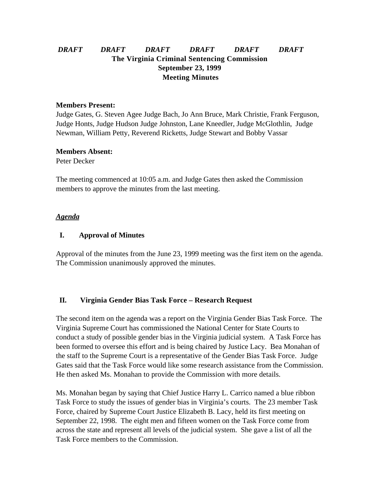# *DRAFT DRAFT DRAFT DRAFT DRAFT DRAFT* **The Virginia Criminal Sentencing Commission September 23, 1999 Meeting Minutes**

#### **Members Present:**

Judge Gates, G. Steven Agee Judge Bach, Jo Ann Bruce, Mark Christie, Frank Ferguson, Judge Honts, Judge Hudson Judge Johnston, Lane Kneedler, Judge McGlothlin, Judge Newman, William Petty, Reverend Ricketts, Judge Stewart and Bobby Vassar

#### **Members Absent:**

Peter Decker

The meeting commenced at 10:05 a.m. and Judge Gates then asked the Commission members to approve the minutes from the last meeting.

#### *Agenda*

### **I. Approval of Minutes**

Approval of the minutes from the June 23, 1999 meeting was the first item on the agenda. The Commission unanimously approved the minutes.

### **II. Virginia Gender Bias Task Force – Research Request**

The second item on the agenda was a report on the Virginia Gender Bias Task Force. The Virginia Supreme Court has commissioned the National Center for State Courts to conduct a study of possible gender bias in the Virginia judicial system. A Task Force has been formed to oversee this effort and is being chaired by Justice Lacy. Bea Monahan of the staff to the Supreme Court is a representative of the Gender Bias Task Force. Judge Gates said that the Task Force would like some research assistance from the Commission. He then asked Ms. Monahan to provide the Commission with more details.

Ms. Monahan began by saying that Chief Justice Harry L. Carrico named a blue ribbon Task Force to study the issues of gender bias in Virginia's courts. The 23 member Task Force, chaired by Supreme Court Justice Elizabeth B. Lacy, held its first meeting on September 22, 1998. The eight men and fifteen women on the Task Force come from across the state and represent all levels of the judicial system. She gave a list of all the Task Force members to the Commission.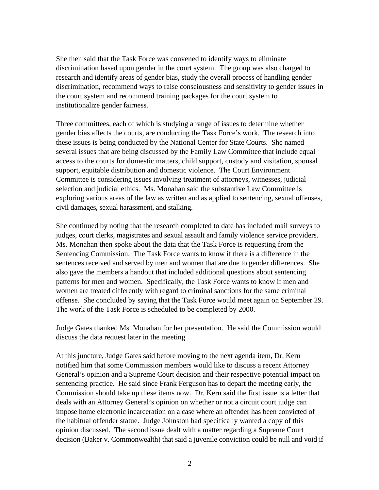She then said that the Task Force was convened to identify ways to eliminate discrimination based upon gender in the court system. The group was also charged to research and identify areas of gender bias, study the overall process of handling gender discrimination, recommend ways to raise consciousness and sensitivity to gender issues in the court system and recommend training packages for the court system to institutionalize gender fairness.

Three committees, each of which is studying a range of issues to determine whether gender bias affects the courts, are conducting the Task Force's work. The research into these issues is being conducted by the National Center for State Courts. She named several issues that are being discussed by the Family Law Committee that include equal access to the courts for domestic matters, child support, custody and visitation, spousal support, equitable distribution and domestic violence. The Court Environment Committee is considering issues involving treatment of attorneys, witnesses, judicial selection and judicial ethics. Ms. Monahan said the substantive Law Committee is exploring various areas of the law as written and as applied to sentencing, sexual offenses, civil damages, sexual harassment, and stalking.

She continued by noting that the research completed to date has included mail surveys to judges, court clerks, magistrates and sexual assault and family violence service providers. Ms. Monahan then spoke about the data that the Task Force is requesting from the Sentencing Commission. The Task Force wants to know if there is a difference in the sentences received and served by men and women that are due to gender differences. She also gave the members a handout that included additional questions about sentencing patterns for men and women. Specifically, the Task Force wants to know if men and women are treated differently with regard to criminal sanctions for the same criminal offense. She concluded by saying that the Task Force would meet again on September 29. The work of the Task Force is scheduled to be completed by 2000.

Judge Gates thanked Ms. Monahan for her presentation. He said the Commission would discuss the data request later in the meeting

At this juncture, Judge Gates said before moving to the next agenda item, Dr. Kern notified him that some Commission members would like to discuss a recent Attorney General's opinion and a Supreme Court decision and their respective potential impact on sentencing practice. He said since Frank Ferguson has to depart the meeting early, the Commission should take up these items now. Dr. Kern said the first issue is a letter that deals with an Attorney General's opinion on whether or not a circuit court judge can impose home electronic incarceration on a case where an offender has been convicted of the habitual offender statue. Judge Johnston had specifically wanted a copy of this opinion discussed. The second issue dealt with a matter regarding a Supreme Court decision (Baker v. Commonwealth) that said a juvenile conviction could be null and void if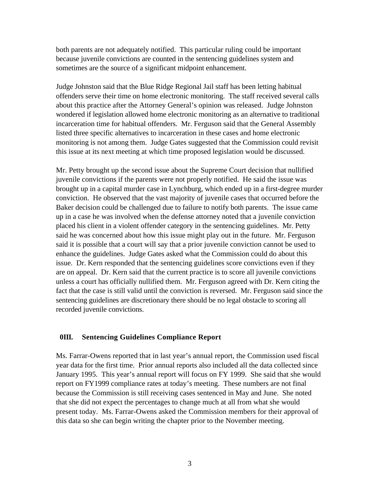both parents are not adequately notified. This particular ruling could be important because juvenile convictions are counted in the sentencing guidelines system and sometimes are the source of a significant midpoint enhancement.

Judge Johnston said that the Blue Ridge Regional Jail staff has been letting habitual offenders serve their time on home electronic monitoring. The staff received several calls about this practice after the Attorney General's opinion was released. Judge Johnston wondered if legislation allowed home electronic monitoring as an alternative to traditional incarceration time for habitual offenders. Mr. Ferguson said that the General Assembly listed three specific alternatives to incarceration in these cases and home electronic monitoring is not among them. Judge Gates suggested that the Commission could revisit this issue at its next meeting at which time proposed legislation would be discussed.

Mr. Petty brought up the second issue about the Supreme Court decision that nullified juvenile convictions if the parents were not properly notified. He said the issue was brought up in a capital murder case in Lynchburg, which ended up in a first-degree murder conviction. He observed that the vast majority of juvenile cases that occurred before the Baker decision could be challenged due to failure to notify both parents. The issue came up in a case he was involved when the defense attorney noted that a juvenile conviction placed his client in a violent offender category in the sentencing guidelines. Mr. Petty said he was concerned about how this issue might play out in the future. Mr. Ferguson said it is possible that a court will say that a prior juvenile conviction cannot be used to enhance the guidelines. Judge Gates asked what the Commission could do about this issue. Dr. Kern responded that the sentencing guidelines score convictions even if they are on appeal. Dr. Kern said that the current practice is to score all juvenile convictions unless a court has officially nullified them. Mr. Ferguson agreed with Dr. Kern citing the fact that the case is still valid until the conviction is reversed. Mr. Ferguson said since the sentencing guidelines are discretionary there should be no legal obstacle to scoring all recorded juvenile convictions.

### **0III. Sentencing Guidelines Compliance Report**

Ms. Farrar-Owens reported that in last year's annual report, the Commission used fiscal year data for the first time. Prior annual reports also included all the data collected since January 1995. This year's annual report will focus on FY 1999. She said that she would report on FY1999 compliance rates at today's meeting. These numbers are not final because the Commission is still receiving cases sentenced in May and June. She noted that she did not expect the percentages to change much at all from what she would present today. Ms. Farrar-Owens asked the Commission members for their approval of this data so she can begin writing the chapter prior to the November meeting.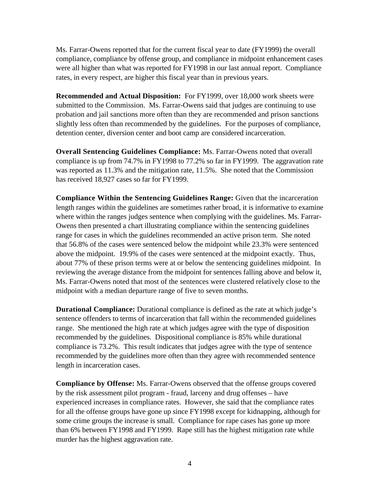Ms. Farrar-Owens reported that for the current fiscal year to date (FY1999) the overall compliance, compliance by offense group, and compliance in midpoint enhancement cases were all higher than what was reported for FY1998 in our last annual report. Compliance rates, in every respect, are higher this fiscal year than in previous years.

**Recommended and Actual Disposition:** For FY1999, over 18,000 work sheets were submitted to the Commission. Ms. Farrar-Owens said that judges are continuing to use probation and jail sanctions more often than they are recommended and prison sanctions slightly less often than recommended by the guidelines. For the purposes of compliance, detention center, diversion center and boot camp are considered incarceration.

**Overall Sentencing Guidelines Compliance:** Ms. Farrar-Owens noted that overall compliance is up from 74.7% in FY1998 to 77.2% so far in FY1999. The aggravation rate was reported as 11.3% and the mitigation rate, 11.5%. She noted that the Commission has received 18,927 cases so far for FY1999.

**Compliance Within the Sentencing Guidelines Range:** Given that the incarceration length ranges within the guidelines are sometimes rather broad, it is informative to examine where within the ranges judges sentence when complying with the guidelines. Ms. Farrar-Owens then presented a chart illustrating compliance within the sentencing guidelines range for cases in which the guidelines recommended an active prison term. She noted that 56.8% of the cases were sentenced below the midpoint while 23.3% were sentenced above the midpoint. 19.9% of the cases were sentenced at the midpoint exactly. Thus, about 77% of these prison terms were at or below the sentencing guidelines midpoint. In reviewing the average distance from the midpoint for sentences falling above and below it, Ms. Farrar-Owens noted that most of the sentences were clustered relatively close to the midpoint with a median departure range of five to seven months.

**Durational Compliance:** Durational compliance is defined as the rate at which judge's sentence offenders to terms of incarceration that fall within the recommended guidelines range. She mentioned the high rate at which judges agree with the type of disposition recommended by the guidelines. Dispositional compliance is 85% while durational compliance is 73.2%. This result indicates that judges agree with the type of sentence recommended by the guidelines more often than they agree with recommended sentence length in incarceration cases.

**Compliance by Offense:** Ms. Farrar-Owens observed that the offense groups covered by the risk assessment pilot program - fraud, larceny and drug offenses – have experienced increases in compliance rates. However, she said that the compliance rates for all the offense groups have gone up since FY1998 except for kidnapping, although for some crime groups the increase is small. Compliance for rape cases has gone up more than 6% between FY1998 and FY1999. Rape still has the highest mitigation rate while murder has the highest aggravation rate.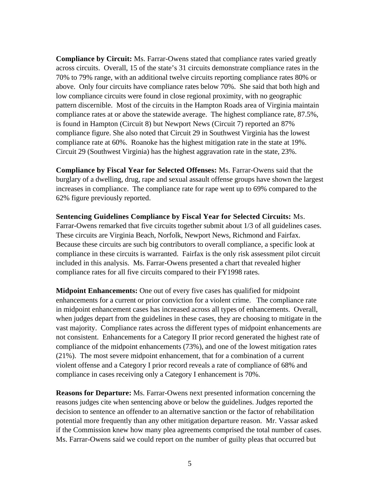**Compliance by Circuit:** Ms. Farrar-Owens stated that compliance rates varied greatly across circuits. Overall, 15 of the state's 31 circuits demonstrate compliance rates in the 70% to 79% range, with an additional twelve circuits reporting compliance rates 80% or above. Only four circuits have compliance rates below 70%. She said that both high and low compliance circuits were found in close regional proximity, with no geographic pattern discernible. Most of the circuits in the Hampton Roads area of Virginia maintain compliance rates at or above the statewide average. The highest compliance rate, 87.5%, is found in Hampton (Circuit 8) but Newport News (Circuit 7) reported an 87% compliance figure. She also noted that Circuit 29 in Southwest Virginia has the lowest compliance rate at 60%. Roanoke has the highest mitigation rate in the state at 19%. Circuit 29 (Southwest Virginia) has the highest aggravation rate in the state, 23%.

**Compliance by Fiscal Year for Selected Offenses:** Ms. Farrar-Owens said that the burglary of a dwelling, drug, rape and sexual assault offense groups have shown the largest increases in compliance. The compliance rate for rape went up to 69% compared to the 62% figure previously reported.

**Sentencing Guidelines Compliance by Fiscal Year for Selected Circuits:** Ms. Farrar-Owens remarked that five circuits together submit about 1/3 of all guidelines cases. These circuits are Virginia Beach, Norfolk, Newport News, Richmond and Fairfax. Because these circuits are such big contributors to overall compliance, a specific look at compliance in these circuits is warranted. Fairfax is the only risk assessment pilot circuit included in this analysis. Ms. Farrar-Owens presented a chart that revealed higher compliance rates for all five circuits compared to their FY1998 rates.

**Midpoint Enhancements:** One out of every five cases has qualified for midpoint enhancements for a current or prior conviction for a violent crime. The compliance rate in midpoint enhancement cases has increased across all types of enhancements. Overall, when judges depart from the guidelines in these cases, they are choosing to mitigate in the vast majority. Compliance rates across the different types of midpoint enhancements are not consistent. Enhancements for a Category II prior record generated the highest rate of compliance of the midpoint enhancements (73%), and one of the lowest mitigation rates (21%). The most severe midpoint enhancement, that for a combination of a current violent offense and a Category I prior record reveals a rate of compliance of 68% and compliance in cases receiving only a Category I enhancement is 70%.

**Reasons for Departure:** Ms. Farrar-Owens next presented information concerning the reasons judges cite when sentencing above or below the guidelines. Judges reported the decision to sentence an offender to an alternative sanction or the factor of rehabilitation potential more frequently than any other mitigation departure reason. Mr. Vassar asked if the Commission knew how many plea agreements comprised the total number of cases. Ms. Farrar-Owens said we could report on the number of guilty pleas that occurred but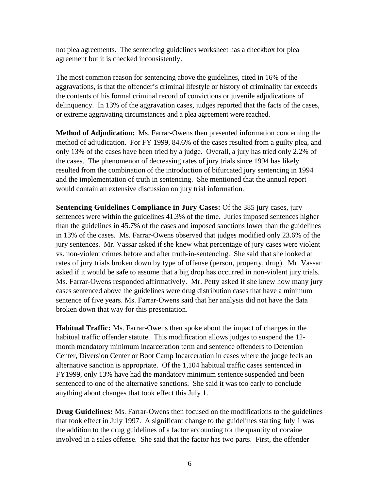not plea agreements. The sentencing guidelines worksheet has a checkbox for plea agreement but it is checked inconsistently.

The most common reason for sentencing above the guidelines, cited in 16% of the aggravations, is that the offender's criminal lifestyle or history of criminality far exceeds the contents of his formal criminal record of convictions or juvenile adjudications of delinquency. In 13% of the aggravation cases, judges reported that the facts of the cases, or extreme aggravating circumstances and a plea agreement were reached.

**Method of Adjudication:** Ms. Farrar-Owens then presented information concerning the method of adjudication. For FY 1999, 84.6% of the cases resulted from a guilty plea, and only 13% of the cases have been tried by a judge. Overall, a jury has tried only 2.2% of the cases. The phenomenon of decreasing rates of jury trials since 1994 has likely resulted from the combination of the introduction of bifurcated jury sentencing in 1994 and the implementation of truth in sentencing. She mentioned that the annual report would contain an extensive discussion on jury trial information.

**Sentencing Guidelines Compliance in Jury Cases:** Of the 385 jury cases, jury sentences were within the guidelines 41.3% of the time. Juries imposed sentences higher than the guidelines in 45.7% of the cases and imposed sanctions lower than the guidelines in 13% of the cases. Ms. Farrar-Owens observed that judges modified only 23.6% of the jury sentences. Mr. Vassar asked if she knew what percentage of jury cases were violent vs. non-violent crimes before and after truth-in-sentencing. She said that she looked at rates of jury trials broken down by type of offense (person, property, drug). Mr. Vassar asked if it would be safe to assume that a big drop has occurred in non-violent jury trials. Ms. Farrar-Owens responded affirmatively. Mr. Petty asked if she knew how many jury cases sentenced above the guidelines were drug distribution cases that have a minimum sentence of five years. Ms. Farrar-Owens said that her analysis did not have the data broken down that way for this presentation.

**Habitual Traffic:** Ms. Farrar-Owens then spoke about the impact of changes in the habitual traffic offender statute. This modification allows judges to suspend the 12 month mandatory minimum incarceration term and sentence offenders to Detention Center, Diversion Center or Boot Camp Incarceration in cases where the judge feels an alternative sanction is appropriate. Of the 1,104 habitual traffic cases sentenced in FY1999, only 13% have had the mandatory minimum sentence suspended and been sentenced to one of the alternative sanctions. She said it was too early to conclude anything about changes that took effect this July 1.

**Drug Guidelines:** Ms. Farrar-Owens then focused on the modifications to the guidelines that took effect in July 1997. A significant change to the guidelines starting July 1 was the addition to the drug guidelines of a factor accounting for the quantity of cocaine involved in a sales offense. She said that the factor has two parts. First, the offender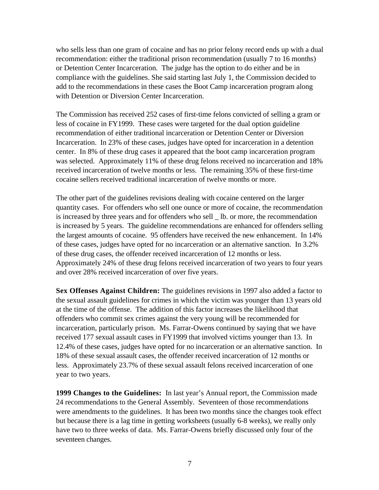who sells less than one gram of cocaine and has no prior felony record ends up with a dual recommendation: either the traditional prison recommendation (usually 7 to 16 months) or Detention Center Incarceration. The judge has the option to do either and be in compliance with the guidelines. She said starting last July 1, the Commission decided to add to the recommendations in these cases the Boot Camp incarceration program along with Detention or Diversion Center Incarceration.

The Commission has received 252 cases of first-time felons convicted of selling a gram or less of cocaine in FY1999. These cases were targeted for the dual option guideline recommendation of either traditional incarceration or Detention Center or Diversion Incarceration. In 23% of these cases, judges have opted for incarceration in a detention center. In 8% of these drug cases it appeared that the boot camp incarceration program was selected. Approximately 11% of these drug felons received no incarceration and 18% received incarceration of twelve months or less. The remaining 35% of these first-time cocaine sellers received traditional incarceration of twelve months or more.

The other part of the guidelines revisions dealing with cocaine centered on the larger quantity cases. For offenders who sell one ounce or more of cocaine, the recommendation is increased by three years and for offenders who sell \_ lb. or more, the recommendation is increased by 5 years. The guideline recommendations are enhanced for offenders selling the largest amounts of cocaine. 95 offenders have received the new enhancement. In 14% of these cases, judges have opted for no incarceration or an alternative sanction. In 3.2% of these drug cases, the offender received incarceration of 12 months or less. Approximately 24% of these drug felons received incarceration of two years to four years and over 28% received incarceration of over five years.

**Sex Offenses Against Children:** The guidelines revisions in 1997 also added a factor to the sexual assault guidelines for crimes in which the victim was younger than 13 years old at the time of the offense. The addition of this factor increases the likelihood that offenders who commit sex crimes against the very young will be recommended for incarceration, particularly prison. Ms. Farrar-Owens continued by saying that we have received 177 sexual assault cases in FY1999 that involved victims younger than 13. In 12.4% of these cases, judges have opted for no incarceration or an alternative sanction. In 18% of these sexual assault cases, the offender received incarceration of 12 months or less. Approximately 23.7% of these sexual assault felons received incarceration of one year to two years.

**1999 Changes to the Guidelines:** In last year's Annual report, the Commission made 24 recommendations to the General Assembly. Seventeen of those recommendations were amendments to the guidelines. It has been two months since the changes took effect but because there is a lag time in getting worksheets (usually 6-8 weeks), we really only have two to three weeks of data. Ms. Farrar-Owens briefly discussed only four of the seventeen changes.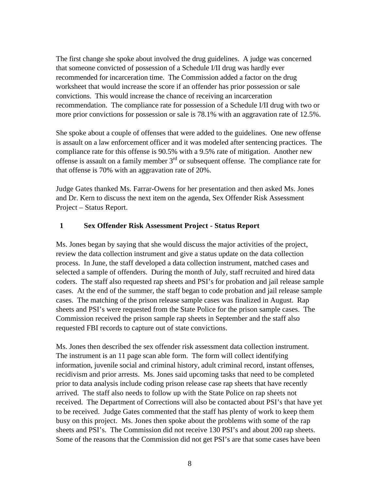The first change she spoke about involved the drug guidelines. A judge was concerned that someone convicted of possession of a Schedule I/II drug was hardly ever recommended for incarceration time. The Commission added a factor on the drug worksheet that would increase the score if an offender has prior possession or sale convictions. This would increase the chance of receiving an incarceration recommendation. The compliance rate for possession of a Schedule I/II drug with two or more prior convictions for possession or sale is 78.1% with an aggravation rate of 12.5%.

She spoke about a couple of offenses that were added to the guidelines. One new offense is assault on a law enforcement officer and it was modeled after sentencing practices. The compliance rate for this offense is 90.5% with a 9.5% rate of mitigation. Another new offense is assault on a family member  $3<sup>rd</sup>$  or subsequent offense. The compliance rate for that offense is 70% with an aggravation rate of 20%.

Judge Gates thanked Ms. Farrar-Owens for her presentation and then asked Ms. Jones and Dr. Kern to discuss the next item on the agenda, Sex Offender Risk Assessment Project – Status Report.

### **1 Sex Offender Risk Assessment Project - Status Report**

Ms. Jones began by saying that she would discuss the major activities of the project, review the data collection instrument and give a status update on the data collection process. In June, the staff developed a data collection instrument, matched cases and selected a sample of offenders. During the month of July, staff recruited and hired data coders. The staff also requested rap sheets and PSI's for probation and jail release sample cases. At the end of the summer, the staff began to code probation and jail release sample cases. The matching of the prison release sample cases was finalized in August. Rap sheets and PSI's were requested from the State Police for the prison sample cases. The Commission received the prison sample rap sheets in September and the staff also requested FBI records to capture out of state convictions.

Ms. Jones then described the sex offender risk assessment data collection instrument. The instrument is an 11 page scan able form. The form will collect identifying information, juvenile social and criminal history, adult criminal record, instant offenses, recidivism and prior arrests. Ms. Jones said upcoming tasks that need to be completed prior to data analysis include coding prison release case rap sheets that have recently arrived. The staff also needs to follow up with the State Police on rap sheets not received. The Department of Corrections will also be contacted about PSI's that have yet to be received. Judge Gates commented that the staff has plenty of work to keep them busy on this project. Ms. Jones then spoke about the problems with some of the rap sheets and PSI's. The Commission did not receive 130 PSI's and about 200 rap sheets. Some of the reasons that the Commission did not get PSI's are that some cases have been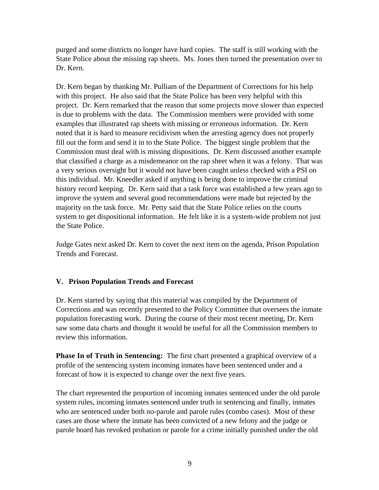purged and some districts no longer have hard copies. The staff is still working with the State Police about the missing rap sheets. Ms. Jones then turned the presentation over to Dr. Kern.

Dr. Kern began by thanking Mr. Pulliam of the Department of Corrections for his help with this project. He also said that the State Police has been very helpful with this project. Dr. Kern remarked that the reason that some projects move slower than expected is due to problems with the data. The Commission members were provided with some examples that illustrated rap sheets with missing or erroneous information. Dr. Kern noted that it is hard to measure recidivism when the arresting agency does not properly fill out the form and send it in to the State Police. The biggest single problem that the Commission must deal with is missing dispositions. Dr. Kern discussed another example that classified a charge as a misdemeanor on the rap sheet when it was a felony. That was a very serious oversight but it would not have been caught unless checked with a PSI on this individual. Mr. Kneedler asked if anything is being done to improve the criminal history record keeping. Dr. Kern said that a task force was established a few years ago to improve the system and several good recommendations were made but rejected by the majority on the task force. Mr. Petty said that the State Police relies on the courts system to get dispositional information. He felt like it is a system-wide problem not just the State Police.

Judge Gates next asked Dr. Kern to cover the next item on the agenda, Prison Population Trends and Forecast.

## **V. Prison Population Trends and Forecast**

Dr. Kern started by saying that this material was compiled by the Department of Corrections and was recently presented to the Policy Committee that oversees the inmate population forecasting work. During the course of their most recent meeting, Dr. Kern saw some data charts and thought it would be useful for all the Commission members to review this information.

**Phase In of Truth in Sentencing:** The first chart presented a graphical overview of a profile of the sentencing system incoming inmates have been sentenced under and a forecast of how it is expected to change over the next five years.

The chart represented the proportion of incoming inmates sentenced under the old parole system rules, incoming inmates sentenced under truth in sentencing and finally, inmates who are sentenced under both no-parole and parole rules (combo cases). Most of these cases are those where the inmate has been convicted of a new felony and the judge or parole board has revoked probation or parole for a crime initially punished under the old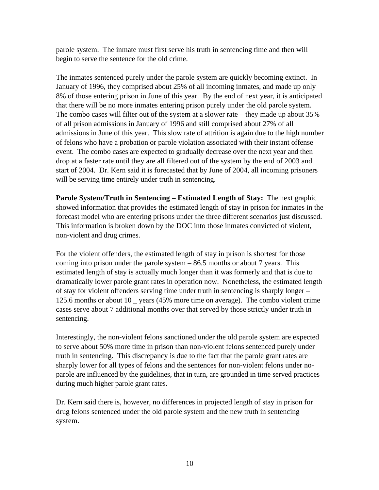parole system. The inmate must first serve his truth in sentencing time and then will begin to serve the sentence for the old crime.

The inmates sentenced purely under the parole system are quickly becoming extinct. In January of 1996, they comprised about 25% of all incoming inmates, and made up only 8% of those entering prison in June of this year. By the end of next year, it is anticipated that there will be no more inmates entering prison purely under the old parole system. The combo cases will filter out of the system at a slower rate – they made up about 35% of all prison admissions in January of 1996 and still comprised about 27% of all admissions in June of this year. This slow rate of attrition is again due to the high number of felons who have a probation or parole violation associated with their instant offense event. The combo cases are expected to gradually decrease over the next year and then drop at a faster rate until they are all filtered out of the system by the end of 2003 and start of 2004. Dr. Kern said it is forecasted that by June of 2004, all incoming prisoners will be serving time entirely under truth in sentencing.

**Parole System/Truth in Sentencing – Estimated Length of Stay:** The next graphic showed information that provides the estimated length of stay in prison for inmates in the forecast model who are entering prisons under the three different scenarios just discussed. This information is broken down by the DOC into those inmates convicted of violent, non-violent and drug crimes.

For the violent offenders, the estimated length of stay in prison is shortest for those coming into prison under the parole system  $-86.5$  months or about 7 years. This estimated length of stay is actually much longer than it was formerly and that is due to dramatically lower parole grant rates in operation now. Nonetheless, the estimated length of stay for violent offenders serving time under truth in sentencing is sharply longer – 125.6 months or about 10 \_ years (45% more time on average). The combo violent crime cases serve about 7 additional months over that served by those strictly under truth in sentencing.

Interestingly, the non-violent felons sanctioned under the old parole system are expected to serve about 50% more time in prison than non-violent felons sentenced purely under truth in sentencing. This discrepancy is due to the fact that the parole grant rates are sharply lower for all types of felons and the sentences for non-violent felons under noparole are influenced by the guidelines, that in turn, are grounded in time served practices during much higher parole grant rates.

Dr. Kern said there is, however, no differences in projected length of stay in prison for drug felons sentenced under the old parole system and the new truth in sentencing system.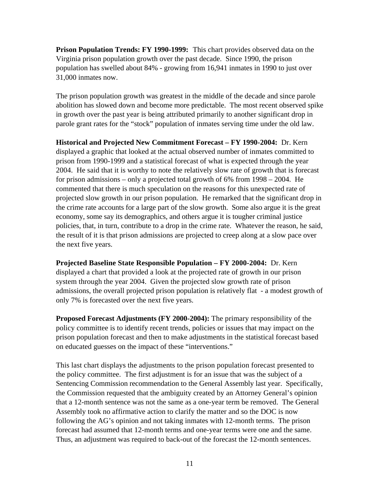**Prison Population Trends: FY 1990-1999:** This chart provides observed data on the Virginia prison population growth over the past decade. Since 1990, the prison population has swelled about 84% - growing from 16,941 inmates in 1990 to just over 31,000 inmates now.

The prison population growth was greatest in the middle of the decade and since parole abolition has slowed down and become more predictable. The most recent observed spike in growth over the past year is being attributed primarily to another significant drop in parole grant rates for the "stock" population of inmates serving time under the old law.

**Historical and Projected New Commitment Forecast – FY 1990-2004:** Dr. Kern displayed a graphic that looked at the actual observed number of inmates committed to prison from 1990-1999 and a statistical forecast of what is expected through the year 2004. He said that it is worthy to note the relatively slow rate of growth that is forecast for prison admissions – only a projected total growth of 6% from 1998 – 2004. He commented that there is much speculation on the reasons for this unexpected rate of projected slow growth in our prison population. He remarked that the significant drop in the crime rate accounts for a large part of the slow growth. Some also argue it is the great economy, some say its demographics, and others argue it is tougher criminal justice policies, that, in turn, contribute to a drop in the crime rate. Whatever the reason, he said, the result of it is that prison admissions are projected to creep along at a slow pace over the next five years.

**Projected Baseline State Responsible Population – FY 2000-2004:** Dr. Kern displayed a chart that provided a look at the projected rate of growth in our prison system through the year 2004. Given the projected slow growth rate of prison admissions, the overall projected prison population is relatively flat - a modest growth of only 7% is forecasted over the next five years.

**Proposed Forecast Adjustments (FY 2000-2004):** The primary responsibility of the policy committee is to identify recent trends, policies or issues that may impact on the prison population forecast and then to make adjustments in the statistical forecast based on educated guesses on the impact of these "interventions."

This last chart displays the adjustments to the prison population forecast presented to the policy committee. The first adjustment is for an issue that was the subject of a Sentencing Commission recommendation to the General Assembly last year. Specifically, the Commission requested that the ambiguity created by an Attorney General's opinion that a 12-month sentence was not the same as a one-year term be removed. The General Assembly took no affirmative action to clarify the matter and so the DOC is now following the AG's opinion and not taking inmates with 12-month terms. The prison forecast had assumed that 12-month terms and one-year terms were one and the same. Thus, an adjustment was required to back-out of the forecast the 12-month sentences.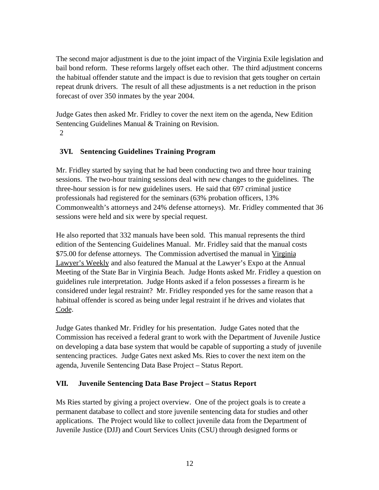The second major adjustment is due to the joint impact of the Virginia Exile legislation and bail bond reform. These reforms largely offset each other. The third adjustment concerns the habitual offender statute and the impact is due to revision that gets tougher on certain repeat drunk drivers. The result of all these adjustments is a net reduction in the prison forecast of over 350 inmates by the year 2004.

Judge Gates then asked Mr. Fridley to cover the next item on the agenda, New Edition Sentencing Guidelines Manual & Training on Revision. 2

# **3VI. Sentencing Guidelines Training Program**

Mr. Fridley started by saying that he had been conducting two and three hour training sessions. The two-hour training sessions deal with new changes to the guidelines. The three-hour session is for new guidelines users. He said that 697 criminal justice professionals had registered for the seminars (63% probation officers, 13% Commonwealth's attorneys and 24% defense attorneys). Mr. Fridley commented that 36 sessions were held and six were by special request.

He also reported that 332 manuals have been sold. This manual represents the third edition of the Sentencing Guidelines Manual. Mr. Fridley said that the manual costs \$75.00 for defense attorneys. The Commission advertised the manual in Virginia Lawyer's Weekly and also featured the Manual at the Lawyer's Expo at the Annual Meeting of the State Bar in Virginia Beach. Judge Honts asked Mr. Fridley a question on guidelines rule interpretation. Judge Honts asked if a felon possesses a firearm is he considered under legal restraint? Mr. Fridley responded yes for the same reason that a habitual offender is scored as being under legal restraint if he drives and violates that Code.

Judge Gates thanked Mr. Fridley for his presentation. Judge Gates noted that the Commission has received a federal grant to work with the Department of Juvenile Justice on developing a data base system that would be capable of supporting a study of juvenile sentencing practices. Judge Gates next asked Ms. Ries to cover the next item on the agenda, Juvenile Sentencing Data Base Project – Status Report.

# **VII. Juvenile Sentencing Data Base Project – Status Report**

Ms Ries started by giving a project overview. One of the project goals is to create a permanent database to collect and store juvenile sentencing data for studies and other applications. The Project would like to collect juvenile data from the Department of Juvenile Justice (DJJ) and Court Services Units (CSU) through designed forms or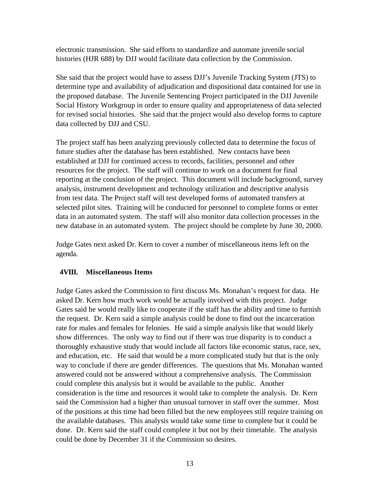electronic transmission. She said efforts to standardize and automate juvenile social histories (HJR 688) by DJJ would facilitate data collection by the Commission.

She said that the project would have to assess DJJ's Juvenile Tracking System (JTS) to determine type and availability of adjudication and dispositional data contained for use in the proposed database. The Juvenile Sentencing Project participated in the DJJ Juvenile Social History Workgroup in order to ensure quality and appropriateness of data selected for revised social histories. She said that the project would also develop forms to capture data collected by DJJ and CSU.

The project staff has been analyzing previously collected data to determine the focus of future studies after the database has been established. New contacts have been established at DJJ for continued access to records, facilities, personnel and other resources for the project. The staff will continue to work on a document for final reporting at the conclusion of the project. This document will include background, survey analysis, instrument development and technology utilization and descriptive analysis from test data. The Project staff will test developed forms of automated transfers at selected pilot sites. Training will be conducted for personnel to complete forms or enter data in an automated system. The staff will also monitor data collection processes in the new database in an automated system. The project should be complete by June 30, 2000.

Judge Gates next asked Dr. Kern to cover a number of miscellaneous items left on the agenda.

## **4VIII. Miscellaneous Items**

Judge Gates asked the Commission to first discuss Ms. Monahan's request for data. He asked Dr. Kern how much work would be actually involved with this project. Judge Gates said he would really like to cooperate if the staff has the ability and time to furnish the request. Dr. Kern said a simple analysis could be done to find out the incarceration rate for males and females for felonies. He said a simple analysis like that would likely show differences. The only way to find out if there was true disparity is to conduct a thoroughly exhaustive study that would include all factors like economic status, race, sex, and education, etc. He said that would be a more complicated study but that is the only way to conclude if there are gender differences. The questions that Ms. Monahan wanted answered could not be answered without a comprehensive analysis. The Commission could complete this analysis but it would be available to the public. Another consideration is the time and resources it would take to complete the analysis. Dr. Kern said the Commission had a higher than unusual turnover in staff over the summer. Most of the positions at this time had been filled but the new employees still require training on the available databases. This analysis would take some time to complete but it could be done. Dr. Kern said the staff could complete it but not by their timetable. The analysis could be done by December 31 if the Commission so desires.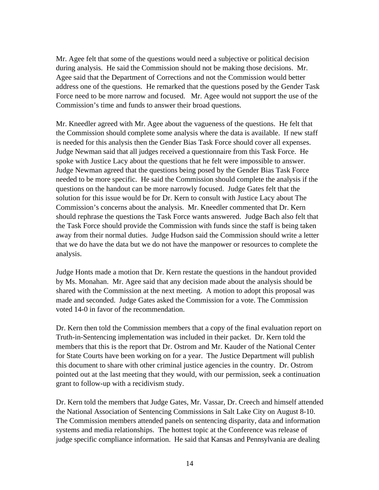Mr. Agee felt that some of the questions would need a subjective or political decision during analysis. He said the Commission should not be making those decisions. Mr. Agee said that the Department of Corrections and not the Commission would better address one of the questions. He remarked that the questions posed by the Gender Task Force need to be more narrow and focused. Mr. Agee would not support the use of the Commission's time and funds to answer their broad questions.

Mr. Kneedler agreed with Mr. Agee about the vagueness of the questions. He felt that the Commission should complete some analysis where the data is available. If new staff is needed for this analysis then the Gender Bias Task Force should cover all expenses. Judge Newman said that all judges received a questionnaire from this Task Force. He spoke with Justice Lacy about the questions that he felt were impossible to answer. Judge Newman agreed that the questions being posed by the Gender Bias Task Force needed to be more specific. He said the Commission should complete the analysis if the questions on the handout can be more narrowly focused. Judge Gates felt that the solution for this issue would be for Dr. Kern to consult with Justice Lacy about The Commission's concerns about the analysis. Mr. Kneedler commented that Dr. Kern should rephrase the questions the Task Force wants answered. Judge Bach also felt that the Task Force should provide the Commission with funds since the staff is being taken away from their normal duties. Judge Hudson said the Commission should write a letter that we do have the data but we do not have the manpower or resources to complete the analysis.

Judge Honts made a motion that Dr. Kern restate the questions in the handout provided by Ms. Monahan. Mr. Agee said that any decision made about the analysis should be shared with the Commission at the next meeting. A motion to adopt this proposal was made and seconded. Judge Gates asked the Commission for a vote. The Commission voted 14-0 in favor of the recommendation.

Dr. Kern then told the Commission members that a copy of the final evaluation report on Truth-in-Sentencing implementation was included in their packet. Dr. Kern told the members that this is the report that Dr. Ostrom and Mr. Kauder of the National Center for State Courts have been working on for a year. The Justice Department will publish this document to share with other criminal justice agencies in the country. Dr. Ostrom pointed out at the last meeting that they would, with our permission, seek a continuation grant to follow-up with a recidivism study.

Dr. Kern told the members that Judge Gates, Mr. Vassar, Dr. Creech and himself attended the National Association of Sentencing Commissions in Salt Lake City on August 8-10. The Commission members attended panels on sentencing disparity, data and information systems and media relationships. The hottest topic at the Conference was release of judge specific compliance information. He said that Kansas and Pennsylvania are dealing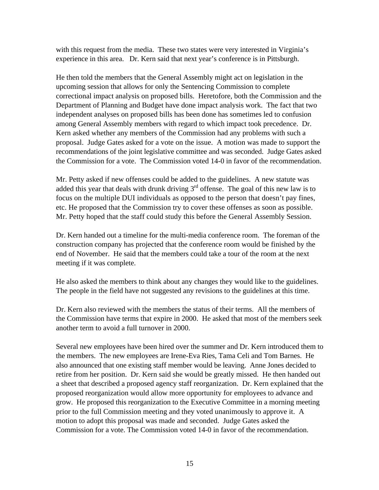with this request from the media. These two states were very interested in Virginia's experience in this area. Dr. Kern said that next year's conference is in Pittsburgh.

He then told the members that the General Assembly might act on legislation in the upcoming session that allows for only the Sentencing Commission to complete correctional impact analysis on proposed bills. Heretofore, both the Commission and the Department of Planning and Budget have done impact analysis work. The fact that two independent analyses on proposed bills has been done has sometimes led to confusion among General Assembly members with regard to which impact took precedence. Dr. Kern asked whether any members of the Commission had any problems with such a proposal. Judge Gates asked for a vote on the issue. A motion was made to support the recommendations of the joint legislative committee and was seconded. Judge Gates asked the Commission for a vote. The Commission voted 14-0 in favor of the recommendation.

Mr. Petty asked if new offenses could be added to the guidelines. A new statute was added this year that deals with drunk driving  $3<sup>rd</sup>$  offense. The goal of this new law is to focus on the multiple DUI individuals as opposed to the person that doesn't pay fines, etc. He proposed that the Commission try to cover these offenses as soon as possible. Mr. Petty hoped that the staff could study this before the General Assembly Session.

Dr. Kern handed out a timeline for the multi-media conference room. The foreman of the construction company has projected that the conference room would be finished by the end of November. He said that the members could take a tour of the room at the next meeting if it was complete.

He also asked the members to think about any changes they would like to the guidelines. The people in the field have not suggested any revisions to the guidelines at this time.

Dr. Kern also reviewed with the members the status of their terms. All the members of the Commission have terms that expire in 2000. He asked that most of the members seek another term to avoid a full turnover in 2000.

Several new employees have been hired over the summer and Dr. Kern introduced them to the members. The new employees are Irene-Eva Ries, Tama Celi and Tom Barnes. He also announced that one existing staff member would be leaving. Anne Jones decided to retire from her position. Dr. Kern said she would be greatly missed. He then handed out a sheet that described a proposed agency staff reorganization. Dr. Kern explained that the proposed reorganization would allow more opportunity for employees to advance and grow. He proposed this reorganization to the Executive Committee in a morning meeting prior to the full Commission meeting and they voted unanimously to approve it. A motion to adopt this proposal was made and seconded. Judge Gates asked the Commission for a vote. The Commission voted 14-0 in favor of the recommendation.